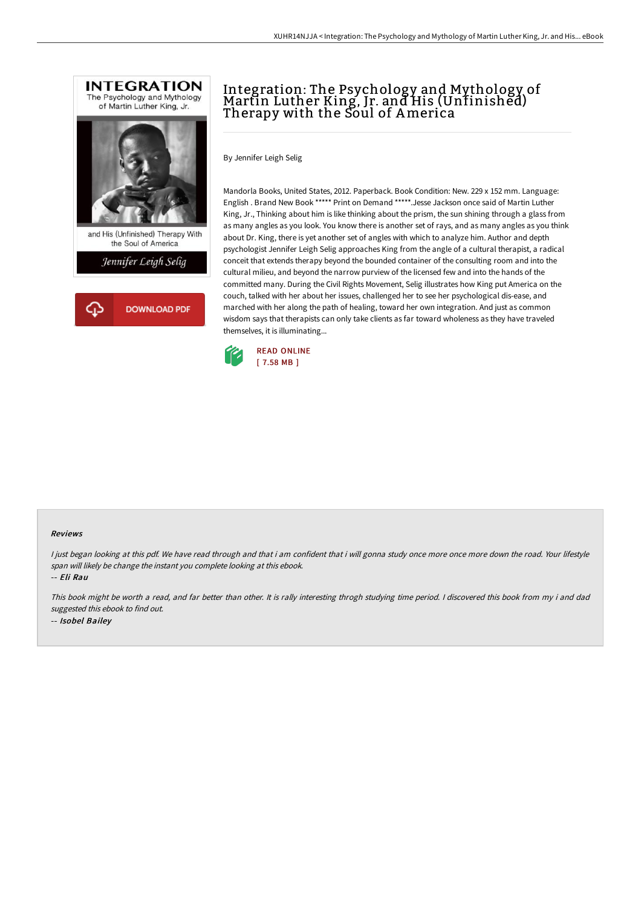



## Integration: The Psychology and Mythology of Martin Luther King, Jr. and His (Unfinished) Therapy with the Soul of America

By Jennifer Leigh Selig

Mandorla Books, United States, 2012. Paperback. Book Condition: New. 229 x 152 mm. Language: English . Brand New Book \*\*\*\*\* Print on Demand \*\*\*\*\*.Jesse Jackson once said of Martin Luther King, Jr., Thinking about him is like thinking about the prism, the sun shining through a glass from as many angles as you look. You know there is another set of rays, and as many angles as you think about Dr. King, there is yet another set of angles with which to analyze him. Author and depth psychologist Jennifer Leigh Selig approaches King from the angle of a cultural therapist, a radical conceit that extends therapy beyond the bounded container of the consulting room and into the cultural milieu, and beyond the narrow purview of the licensed few and into the hands of the committed many. During the Civil Rights Movement, Selig illustrates how King put America on the couch, talked with her about her issues, challenged her to see her psychological dis-ease, and marched with her along the path of healing, toward her own integration. And just as common wisdom says that therapists can only take clients as far toward wholeness as they have traveled themselves, it is illuminating...



## Reviews

I just began looking at this pdf. We have read through and that i am confident that i will gonna study once more once more down the road. Your lifestyle span will likely be change the instant you complete looking at this ebook.

-- Eli Rau

This book might be worth <sup>a</sup> read, and far better than other. It is rally interesting throgh studying time period. <sup>I</sup> discovered this book from my i and dad suggested this ebook to find out. -- Isobel Bailey